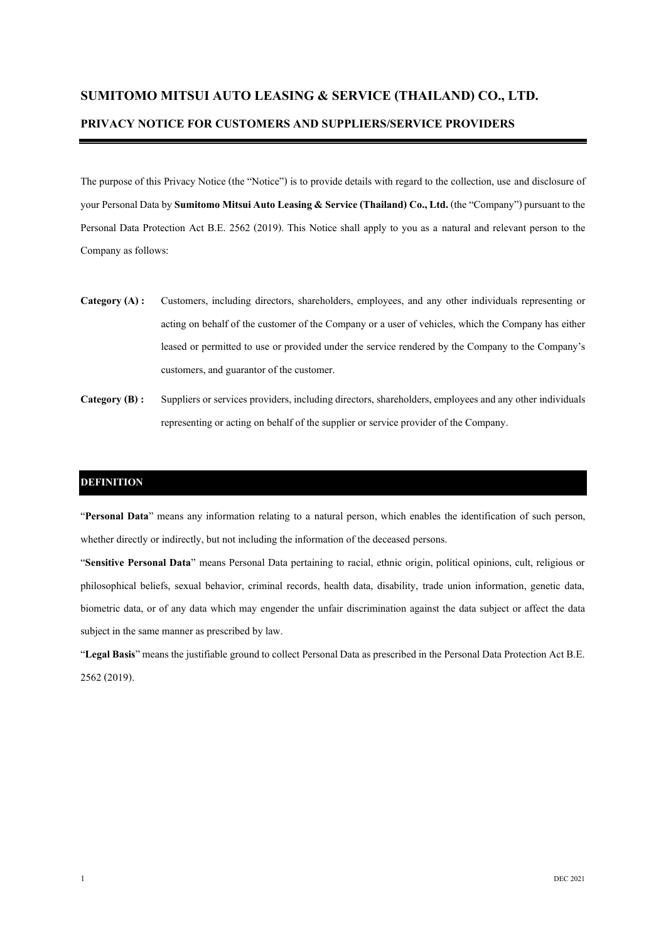# **SUMITOMO MITSUI AUTO LEASING & SERVICE (THAILAND) CO., LTD. PRIVACY NOTICE FOR CUSTOMERS AND SUPPLIERS/SERVICE PROVIDERS**

The purpose of this Privacy Notice (the "Notice") is to provide details with regard to the collection, use and disclosure of your Personal Data by **Sumitomo Mitsui Auto Leasing & Service (Thailand) Co., Ltd.** (the "Company") pursuant to the Personal Data Protection Act B.E. 2562 (2019). This Notice shall apply to you as a natural and relevant person to the Company as follows:

- **Category (A) :** Customers, including directors, shareholders, employees, and any other individuals representing or acting on behalf of the customer of the Company or a user of vehicles, which the Company has either leased or permitted to use or provided under the service rendered by the Company to the Company's customers, and guarantor of the customer.
- **Category (B) :** Suppliers or services providers, including directors, shareholders, employees and any other individuals representing or acting on behalf of the supplier or service provider of the Company.

#### **DEFINITION**

"**Personal Data**" means any information relating to a natural person, which enables the identification of such person, whether directly or indirectly, but not including the information of the deceased persons.

"**Sensitive Personal Data**" means Personal Data pertaining to racial, ethnic origin, political opinions, cult, religious or philosophical beliefs, sexual behavior, criminal records, health data, disability, trade union information, genetic data, biometric data, or of any data which may engender the unfair discrimination against the data subject or affect the data subject in the same manner as prescribed by law.

"**Legal Basis**" means the justifiable ground to collect Personal Data as prescribed in the Personal Data Protection Act B.E. 2562 (2019).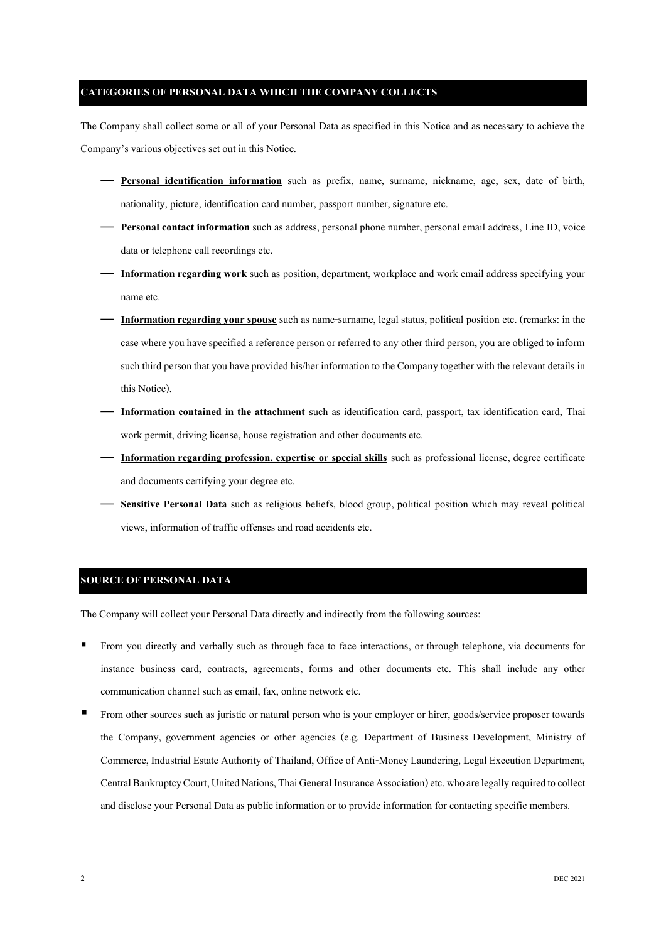# **CATEGORIES OF PERSONAL DATA WHICH THE COMPANY COLLECTS**

The Company shall collect some or all of your Personal Data as specified in this Notice and as necessary to achieve the Company's various objectives set out in this Notice.

- **Personal identification information** such as prefix, name, surname, nickname, age, sex, date of birth, nationality, picture, identification card number, passport number, signature etc.
- **Personal contact information**such as address, personal phone number, personal email address, Line ID, voice data or telephone call recordings etc.
- **Information regarding work**such as position, department, workplace and work email address specifying your name etc.
- **Information regarding your spouse** such as name-surname, legal status, political position etc. (remarks: in the case where you have specified a reference person or referred to any other third person, you are obliged to inform such third person that you have provided his/her information to the Company together with the relevant details in this Notice).
- **Information contained in the attachment** such as identification card, passport, tax identification card, Thai work permit, driving license, house registration and other documents etc.
- **Information regarding profession, expertise or special skills** such as professional license, degree certificate and documents certifying your degree etc.
- **Sensitive Personal Data** such as religious beliefs, blood group, political position which may reveal political views, information of traffic offenses and road accidents etc.

#### **SOURCE OF PERSONAL DATA**

The Company will collect your Personal Data directly and indirectly from the following sources:

- From you directly and verbally such as through face to face interactions, or through telephone, via documents for instance business card, contracts, agreements, forms and other documents etc. This shall include any other communication channel such as email, fax, online network etc.
- From other sources such as juristic or natural person who is your employer or hirer, goods/service proposer towards the Company, government agencies or other agencies (e.g. Department of Business Development, Ministry of Commerce, Industrial Estate Authority of Thailand, Office of Anti-Money Laundering, Legal Execution Department, Central Bankruptcy Court, United Nations, Thai General Insurance Association) etc. who are legally required to collect and disclose your Personal Data as public information or to provide information for contacting specific members.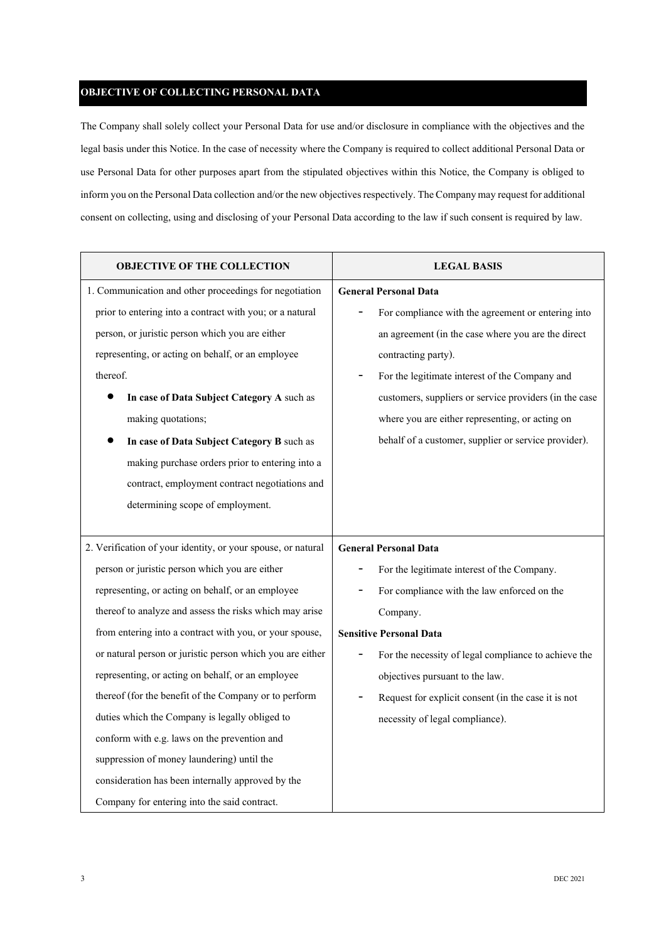## **OBJECTIVE OF COLLECTING PERSONAL DATA**

The Company shall solely collect your Personal Data for use and/or disclosure in compliance with the objectives and the legal basis under this Notice. In the case of necessity where the Company is required to collect additional Personal Data or use Personal Data for other purposes apart from the stipulated objectives within this Notice, the Company is obliged to inform you on the Personal Data collection and/or the new objectives respectively. The Company may request for additional consent on collecting, using and disclosing of your Personal Data according to the law if such consent is required by law.

| <b>OBJECTIVE OF THE COLLECTION</b>                           | <b>LEGAL BASIS</b>                                     |
|--------------------------------------------------------------|--------------------------------------------------------|
| 1. Communication and other proceedings for negotiation       | <b>General Personal Data</b>                           |
| prior to entering into a contract with you; or a natural     | For compliance with the agreement or entering into     |
| person, or juristic person which you are either              | an agreement (in the case where you are the direct     |
| representing, or acting on behalf, or an employee            | contracting party).                                    |
| thereof.                                                     | For the legitimate interest of the Company and         |
| In case of Data Subject Category A such as                   | customers, suppliers or service providers (in the case |
| making quotations;                                           | where you are either representing, or acting on        |
| In case of Data Subject Category B such as                   | behalf of a customer, supplier or service provider).   |
| making purchase orders prior to entering into a              |                                                        |
| contract, employment contract negotiations and               |                                                        |
| determining scope of employment.                             |                                                        |
|                                                              |                                                        |
| 2. Verification of your identity, or your spouse, or natural | <b>General Personal Data</b>                           |
| person or juristic person which you are either               | For the legitimate interest of the Company.            |
| representing, or acting on behalf, or an employee            | For compliance with the law enforced on the            |
| thereof to analyze and assess the risks which may arise      | Company.                                               |
| from entering into a contract with you, or your spouse,      | <b>Sensitive Personal Data</b>                         |
| or natural person or juristic person which you are either    | For the necessity of legal compliance to achieve the   |
| representing, or acting on behalf, or an employee            | objectives pursuant to the law.                        |
| thereof (for the benefit of the Company or to perform        | Request for explicit consent (in the case it is not    |
| duties which the Company is legally obliged to               | necessity of legal compliance).                        |
| conform with e.g. laws on the prevention and                 |                                                        |
| suppression of money laundering) until the                   |                                                        |
| consideration has been internally approved by the            |                                                        |
| Company for entering into the said contract.                 |                                                        |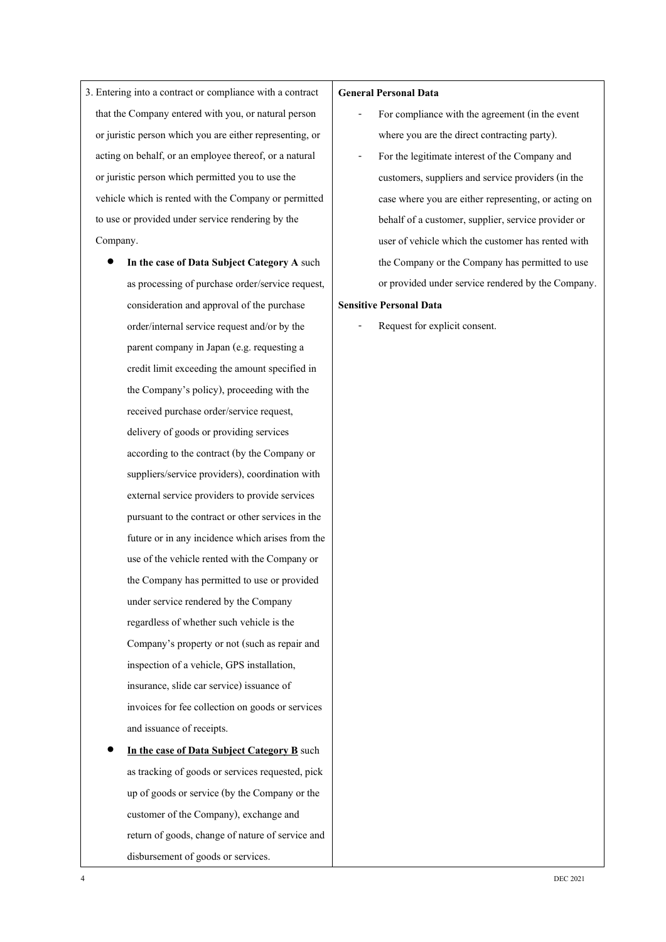- 3. Entering into a contract or compliance with a contract that the Company entered with you, or natural person or juristic person which you are either representing, or acting on behalf, or an employee thereof, or a natural or juristic person which permitted you to use the vehicle which is rented with the Company or permitted to use or provided under service rendering by the Company.
	- **In the case of Data Subject Category A** such as processing of purchase order/service request, consideration and approval of the purchase order/internal service request and/or by the parent company in Japan (e.g. requesting a credit limit exceeding the amount specified in the Company's policy), proceeding with the received purchase order/service request, delivery of goods or providing services according to the contract (by the Company or suppliers/service providers), coordination with external service providers to provide services pursuant to the contract or other services in the future or in any incidence which arises from the use of the vehicle rented with the Company or the Company has permitted to use or provided under service rendered by the Company regardless of whether such vehicle is the Company's property or not (such as repair and inspection of a vehicle, GPS installation, insurance, slide car service) issuance of invoices for fee collection on goods or services and issuance of receipts.
	- **In the case of Data Subject Category B** such as tracking of goods or services requested, pick up of goods or service (by the Company or the customer of the Company), exchange and return of goods, change of nature of service and disbursement of goods or services.

#### **General Personal Data**

- For compliance with the agreement (in the event where you are the direct contracting party).
- For the legitimate interest of the Company and customers, suppliers and service providers (in the case where you are either representing, or acting on behalf of a customer, supplier, service provider or user of vehicle which the customer has rented with the Company or the Company has permitted to use or provided under service rendered by the Company.

#### **Sensitive Personal Data**

Request for explicit consent.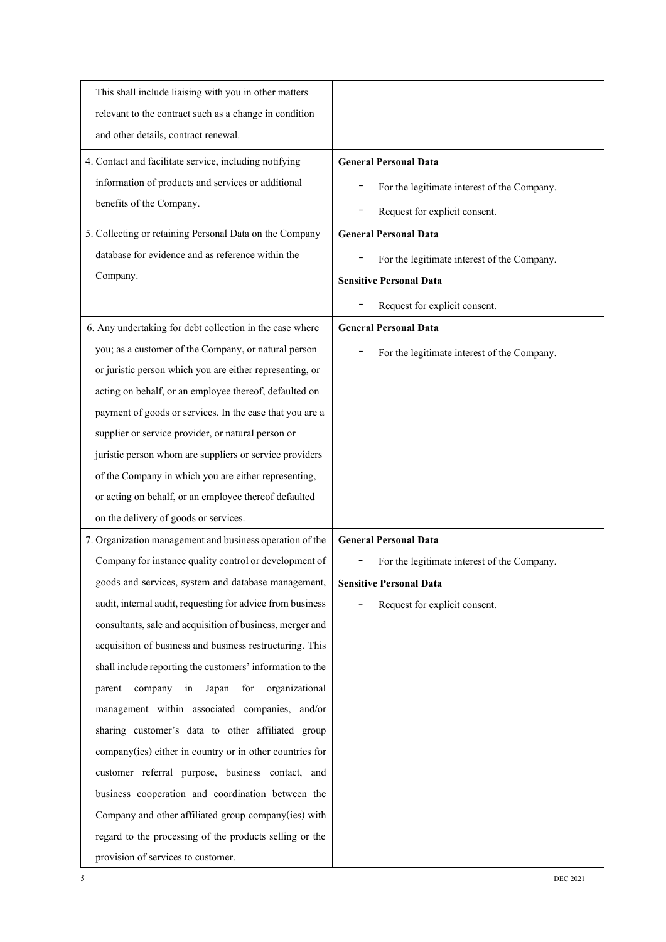| This shall include liaising with you in other matters      |                                             |
|------------------------------------------------------------|---------------------------------------------|
| relevant to the contract such as a change in condition     |                                             |
| and other details, contract renewal.                       |                                             |
| 4. Contact and facilitate service, including notifying     | <b>General Personal Data</b>                |
| information of products and services or additional         | For the legitimate interest of the Company. |
| benefits of the Company.                                   | Request for explicit consent.               |
| 5. Collecting or retaining Personal Data on the Company    | <b>General Personal Data</b>                |
| database for evidence and as reference within the          | For the legitimate interest of the Company. |
| Company.                                                   | <b>Sensitive Personal Data</b>              |
|                                                            | Request for explicit consent.               |
| 6. Any undertaking for debt collection in the case where   | <b>General Personal Data</b>                |
| you; as a customer of the Company, or natural person       |                                             |
| or juristic person which you are either representing, or   | For the legitimate interest of the Company. |
| acting on behalf, or an employee thereof, defaulted on     |                                             |
| payment of goods or services. In the case that you are a   |                                             |
| supplier or service provider, or natural person or         |                                             |
| juristic person whom are suppliers or service providers    |                                             |
| of the Company in which you are either representing,       |                                             |
| or acting on behalf, or an employee thereof defaulted      |                                             |
| on the delivery of goods or services.                      |                                             |
| 7. Organization management and business operation of the   | <b>General Personal Data</b>                |
| Company for instance quality control or development of     | For the legitimate interest of the Company. |
| goods and services, system and database management,        | <b>Sensitive Personal Data</b>              |
| audit, internal audit, requesting for advice from business | Request for explicit consent.               |
| consultants, sale and acquisition of business, merger and  |                                             |
| acquisition of business and business restructuring. This   |                                             |
| shall include reporting the customers' information to the  |                                             |
| for<br>company<br>in<br>Japan<br>organizational<br>parent  |                                             |
| management within associated companies, and/or             |                                             |
| sharing customer's data to other affiliated group          |                                             |
| company(ies) either in country or in other countries for   |                                             |
| customer referral purpose, business contact, and           |                                             |
| business cooperation and coordination between the          |                                             |
| Company and other affiliated group company(ies) with       |                                             |
| regard to the processing of the products selling or the    |                                             |
| provision of services to customer.                         |                                             |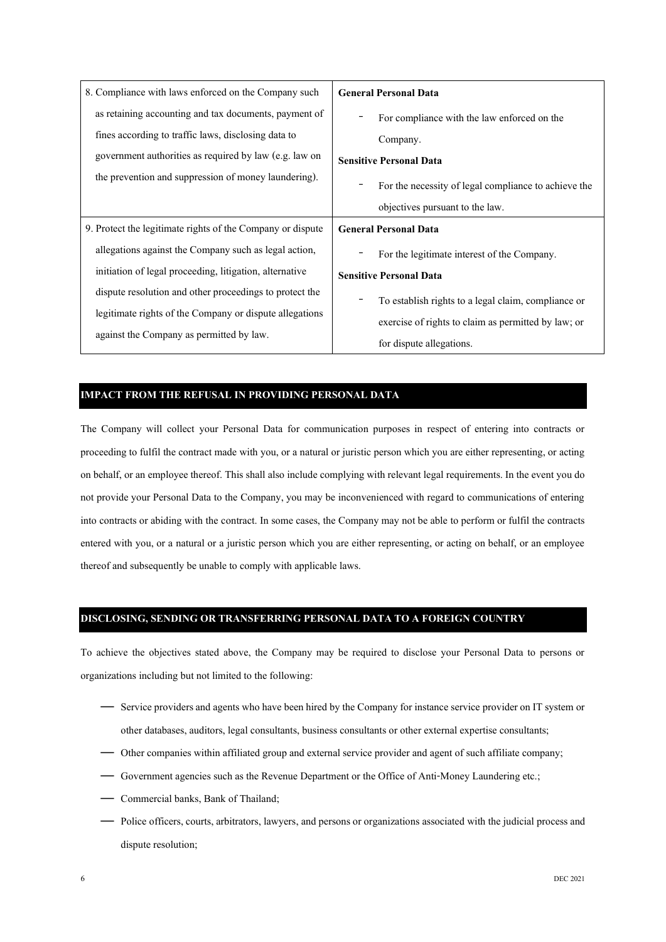| 8. Compliance with laws enforced on the Company such       | <b>General Personal Data</b>                                                                               |
|------------------------------------------------------------|------------------------------------------------------------------------------------------------------------|
| as retaining accounting and tax documents, payment of      | For compliance with the law enforced on the                                                                |
| fines according to traffic laws, disclosing data to        | Company.                                                                                                   |
| government authorities as required by law (e.g. law on     | <b>Sensitive Personal Data</b>                                                                             |
| the prevention and suppression of money laundering).       | For the necessity of legal compliance to achieve the                                                       |
|                                                            | objectives pursuant to the law.                                                                            |
|                                                            |                                                                                                            |
| 9. Protect the legitimate rights of the Company or dispute | <b>General Personal Data</b>                                                                               |
| allegations against the Company such as legal action,      | For the legitimate interest of the Company.                                                                |
| initiation of legal proceeding, litigation, alternative    | <b>Sensitive Personal Data</b>                                                                             |
| dispute resolution and other proceedings to protect the    |                                                                                                            |
| legitimate rights of the Company or dispute allegations    | To establish rights to a legal claim, compliance or<br>exercise of rights to claim as permitted by law; or |

#### **IMPACT FROM THE REFUSAL IN PROVIDING PERSONAL DATA**

The Company will collect your Personal Data for communication purposes in respect of entering into contracts or proceeding to fulfil the contract made with you, or a natural or juristic person which you are either representing, or acting on behalf, or an employee thereof. This shall also include complying with relevant legal requirements. In the event you do not provide your Personal Data to the Company, you may be inconvenienced with regard to communications of entering into contracts or abiding with the contract. In some cases, the Company may not be able to perform or fulfil the contracts entered with you, or a natural or a juristic person which you are either representing, or acting on behalf, or an employee thereof and subsequently be unable to comply with applicable laws.

#### **DISCLOSING, SENDING OR TRANSFERRING PERSONAL DATA TO A FOREIGN COUNTRY**

To achieve the objectives stated above, the Company may be required to disclose your Personal Data to persons or organizations including but not limited to the following:

- Service providers and agents who have been hired by the Company for instance service provider on IT system or other databases, auditors, legal consultants, business consultants or other external expertise consultants;
- Other companies within affiliated group and external service provider and agent of such affiliate company;
- Government agencies such as the Revenue Department or the Office of Anti-Money Laundering etc.;
- Commercial banks, Bank of Thailand;
- Police officers, courts, arbitrators, lawyers, and persons or organizations associated with the judicial process and dispute resolution;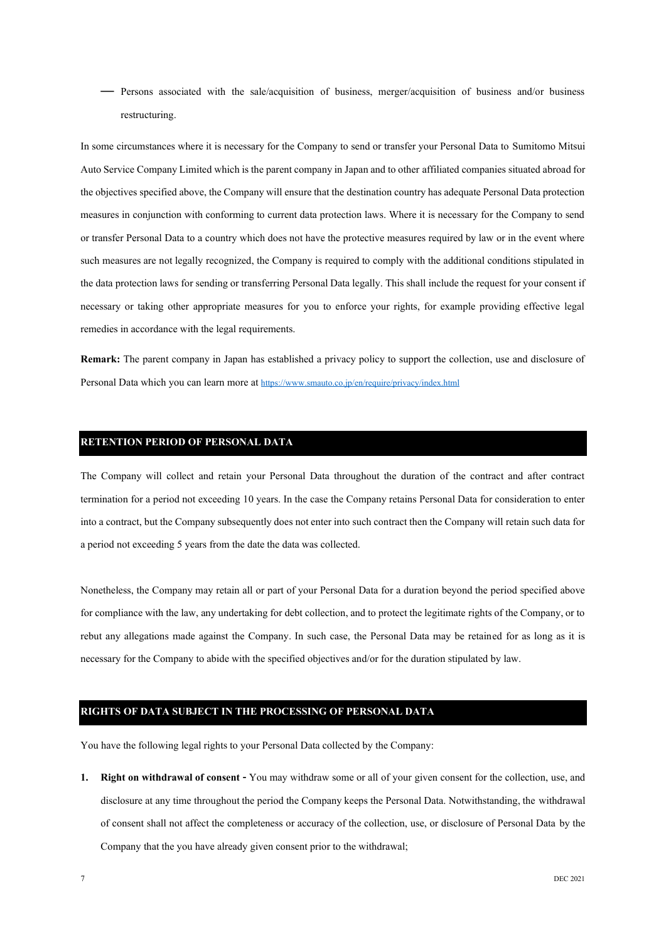— Persons associated with the sale/acquisition of business, merger/acquisition of business and/or business restructuring.

In some circumstances where it is necessary for the Company to send or transfer your Personal Data to Sumitomo Mitsui Auto Service Company Limited which is the parent company in Japan and to other affiliated companies situated abroad for the objectives specified above, the Company will ensure that the destination country has adequate Personal Data protection measures in conjunction with conforming to current data protection laws. Where it is necessary for the Company to send or transfer Personal Data to a country which does not have the protective measures required by law or in the event where such measures are not legally recognized, the Company is required to comply with the additional conditions stipulated in the data protection laws for sending or transferring Personal Data legally. This shall include the request for your consent if necessary or taking other appropriate measures for you to enforce your rights, for example providing effective legal remedies in accordance with the legal requirements.

**Remark:** The parent company in Japan has established a privacy policy to support the collection, use and disclosure of Personal Data which you can learn more at <https://www.smauto.co.jp/en/require/privacy/index.html>

#### **RETENTION PERIOD OF PERSONAL DATA**

The Company will collect and retain your Personal Data throughout the duration of the contract and after contract termination for a period not exceeding 10 years. In the case the Company retains Personal Data for consideration to enter into a contract, but the Company subsequently does not enter into such contract then the Company will retain such data for a period not exceeding 5 years from the date the data was collected.

Nonetheless, the Company may retain all or part of your Personal Data for a duration beyond the period specified above for compliance with the law, any undertaking for debt collection, and to protect the legitimate rights of the Company, or to rebut any allegations made against the Company. In such case, the Personal Data may be retained for as long as it is necessary for the Company to abide with the specified objectives and/or for the duration stipulated by law.

### **RIGHTS OF DATA SUBJECT IN THE PROCESSING OF PERSONAL DATA**

You have the following legal rights to your Personal Data collected by the Company:

**1. Right on withdrawal of consent -** You may withdraw some or all of your given consent for the collection, use, and disclosure at any time throughout the period the Company keeps the Personal Data. Notwithstanding, the withdrawal of consent shall not affect the completeness or accuracy of the collection, use, or disclosure of Personal Data by the Company that the you have already given consent prior to the withdrawal;